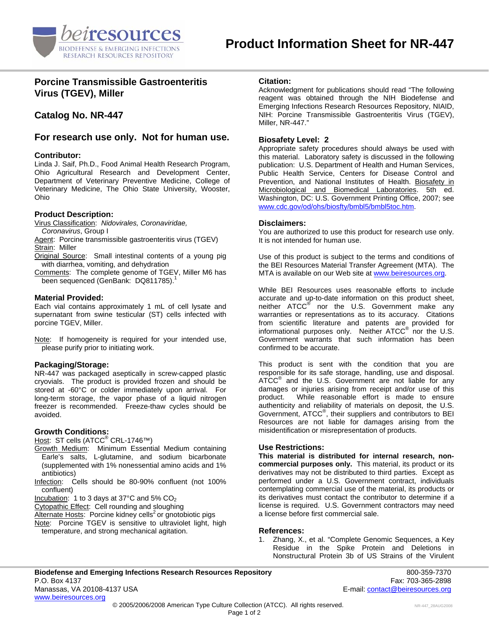

# **Porcine Transmissible Gastroenteritis Virus (TGEV), Miller**

# **Catalog No. NR-447**

# **For research use only. Not for human use.**

#### **Contributor:**

Linda J. Saif, Ph.D., Food Animal Health Research Program, Ohio Agricultural Research and Development Center, Department of Veterinary Preventive Medicine, College of Veterinary Medicine, The Ohio State University, Wooster, Ohio

#### **Product Description:**

Virus Classification: *Nidovirales, Coronaviridae,* 

- *Coronavirus*, Group I Agent: Porcine transmissible gastroenteritis virus (TGEV) Strain: Miller
- Original Source: Small intestinal contents of a young pig with diarrhea, vomiting, and dehydration
- Comments: The complete genome of TGEV, Miller M6 has been sequenced (GenBank: DQ811785).

#### **Material Provided:**

Each vial contains approximately 1 mL of cell lysate and supernatant from swine testicular (ST) cells infected with porcine TGEV, Miller.

Note: If homogeneity is required for your intended use, please purify prior to initiating work.

# **Packaging/Storage:**

NR-447 was packaged aseptically in screw-capped plastic cryovials. The product is provided frozen and should be stored at -60°C or colder immediately upon arrival. For long-term storage, the vapor phase of a liquid nitrogen freezer is recommended. Freeze-thaw cycles should be avoided.

# **Growth Conditions:**

<u>Host</u>: ST cells (ATCC<sup>®</sup> CRL-1746™)

- Growth Medium: Minimum Essential Medium containing Earle's salts, L-glutamine, and sodium bicarbonate (supplemented with 1% nonessential amino acids and 1% antibiotics)
- Infection: Cells should be 80-90% confluent (not 100% confluent)

Incubation: 1 to 3 days at 37 $^{\circ}$ C and 5% CO<sub>2</sub>

Cytopathic Effect: Cell rounding and sloughing

Alternate Hosts: Porcine kidney cells<sup>2</sup> or gnotobiotic pigs

Note: Porcine TGEV is sensitive to ultraviolet light, high temperature, and strong mechanical agitation.

#### **Citation:**

Acknowledgment for publications should read "The following reagent was obtained through the NIH Biodefense and Emerging Infections Research Resources Repository, NIAID, NIH: Porcine Transmissible Gastroenteritis Virus (TGEV), Miller, NR-447."

#### **Biosafety Level: 2**

Appropriate safety procedures should always be used with this material. Laboratory safety is discussed in the following publication: U.S. Department of Health and Human Services, Public Health Service, Centers for Disease Control and Prevention, and National Institutes of Health. Biosafety in Microbiological and Biomedical Laboratories. 5th ed. Washington, DC: U.S. Government Printing Office, 2007; see [www.cdc.gov/od/ohs/biosfty/bmbl5/bmbl5toc.htm.](http://www.cdc.gov/od/ohs/biosfty/bmbl5/bmbl5toc.htm)

#### **Disclaimers:**

You are authorized to use this product for research use only. It is not intended for human use.

Use of this product is subject to the terms and conditions of the BEI Resources Material Transfer Agreement (MTA). The MTA is available on our Web site at [www.beiresources.org](http://www.beiresources.org/).

While BEI Resources uses reasonable efforts to include accurate and up-to-date information on this product sheet, neither ATCC<sup>®</sup> nor the U.S. Government make any warranties or representations as to its accuracy. Citations from scientific literature and patents are provided for informational purposes only. Neither  $\tt{ATCC}^{\circledR}$  nor the U.S. Government warrants that such information has been confirmed to be accurate.

This product is sent with the condition that you are responsible for its safe storage, handling, use and disposal. ATCC<sup>®</sup> and the U.S. Government are not liable for any damages or injuries arising from receipt and/or use of this product. While reasonable effort is made to ensure authenticity and reliability of materials on deposit, the U.S. Government, ATCC® , their suppliers and contributors to BEI Resources are not liable for damages arising from the misidentification or misrepresentation of products.

# **Use Restrictions:**

**This material is distributed for internal research, noncommercial purposes only.** This material, its product or its derivatives may not be distributed to third parties. Except as performed under a U.S. Government contract, individuals contemplating commercial use of the material, its products or its derivatives must contact the contributor to determine if a license is required. U.S. Government contractors may need a license before first commercial sale.

# **References:**

1. Zhang, X., et al. "Complete Genomic Sequences, a Key Residue in the Spike Protein and Deletions in Nonstructural Protein 3b of US Strains of the Virulent